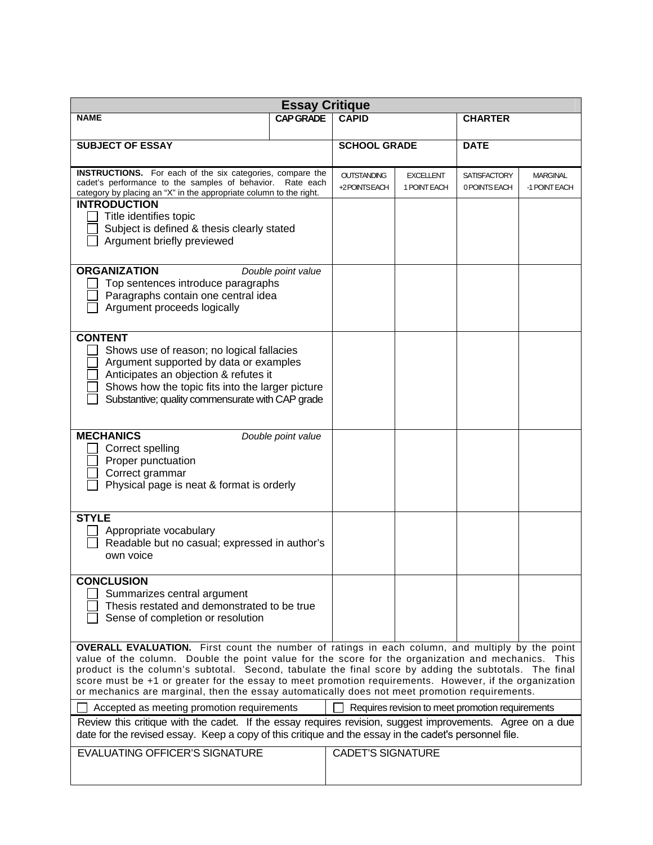| <b>Essay Critique</b>                                                                                                                                                                                                                                                                                                                                                                                                                                                                                                            |                  |                                    |                                  |                                      |                                  |  |  |  |  |
|----------------------------------------------------------------------------------------------------------------------------------------------------------------------------------------------------------------------------------------------------------------------------------------------------------------------------------------------------------------------------------------------------------------------------------------------------------------------------------------------------------------------------------|------------------|------------------------------------|----------------------------------|--------------------------------------|----------------------------------|--|--|--|--|
| <b>NAME</b>                                                                                                                                                                                                                                                                                                                                                                                                                                                                                                                      | <b>CAP GRADE</b> | <b>CAPID</b>                       |                                  | <b>CHARTER</b>                       |                                  |  |  |  |  |
| <b>SUBJECT OF ESSAY</b>                                                                                                                                                                                                                                                                                                                                                                                                                                                                                                          |                  | <b>SCHOOL GRADE</b>                |                                  | <b>DATE</b>                          |                                  |  |  |  |  |
| <b>INSTRUCTIONS.</b> For each of the six categories, compare the<br>cadet's performance to the samples of behavior. Rate each<br>category by placing an "X" in the appropriate column to the right.<br><b>INTRODUCTION</b>                                                                                                                                                                                                                                                                                                       |                  | <b>OUTSTANDING</b><br>+2POINTSEACH | <b>EXCELLENT</b><br>1 POINT EACH | <b>SATISFACTORY</b><br>0 POINTS EACH | <b>MARGINAL</b><br>-1 POINT EACH |  |  |  |  |
| Title identifies topic<br>Subject is defined & thesis clearly stated<br>Argument briefly previewed                                                                                                                                                                                                                                                                                                                                                                                                                               |                  |                                    |                                  |                                      |                                  |  |  |  |  |
| <b>ORGANIZATION</b><br>Double point value<br>Top sentences introduce paragraphs<br>Paragraphs contain one central idea<br>Argument proceeds logically                                                                                                                                                                                                                                                                                                                                                                            |                  |                                    |                                  |                                      |                                  |  |  |  |  |
| <b>CONTENT</b><br>Shows use of reason; no logical fallacies<br>Argument supported by data or examples<br>Anticipates an objection & refutes it<br>Shows how the topic fits into the larger picture<br>Substantive; quality commensurate with CAP grade                                                                                                                                                                                                                                                                           |                  |                                    |                                  |                                      |                                  |  |  |  |  |
| <b>MECHANICS</b><br>Double point value<br>Correct spelling<br>Proper punctuation<br>Correct grammar<br>Physical page is neat & format is orderly                                                                                                                                                                                                                                                                                                                                                                                 |                  |                                    |                                  |                                      |                                  |  |  |  |  |
| <b>STYLE</b><br>Appropriate vocabulary<br>Readable but no casual; expressed in author's<br>own voice                                                                                                                                                                                                                                                                                                                                                                                                                             |                  |                                    |                                  |                                      |                                  |  |  |  |  |
| <b>CONCLUSION</b><br>Summarizes central argument<br>Thesis restated and demonstrated to be true<br>Sense of completion or resolution                                                                                                                                                                                                                                                                                                                                                                                             |                  |                                    |                                  |                                      |                                  |  |  |  |  |
| <b>OVERALL EVALUATION.</b> First count the number of ratings in each column, and multiply by the point<br>value of the column. Double the point value for the score for the organization and mechanics. This<br>product is the column's subtotal. Second, tabulate the final score by adding the subtotals. The final<br>score must be +1 or greater for the essay to meet promotion requirements. However, if the organization<br>or mechanics are marginal, then the essay automatically does not meet promotion requirements. |                  |                                    |                                  |                                      |                                  |  |  |  |  |
| Accepted as meeting promotion requirements<br>Requires revision to meet promotion requirements<br>Review this critique with the cadet. If the essay requires revision, suggest improvements. Agree on a due<br>date for the revised essay. Keep a copy of this critique and the essay in the cadet's personnel file.                                                                                                                                                                                                             |                  |                                    |                                  |                                      |                                  |  |  |  |  |
| <b>EVALUATING OFFICER'S SIGNATURE</b>                                                                                                                                                                                                                                                                                                                                                                                                                                                                                            |                  | <b>CADET'S SIGNATURE</b>           |                                  |                                      |                                  |  |  |  |  |